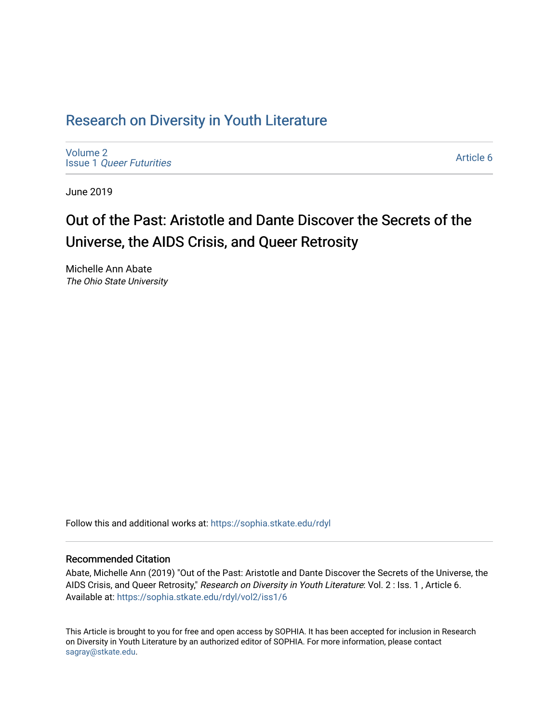## Research on Div[ersity in Youth Liter](https://sophia.stkate.edu/rdyl)ature

[Volume 2](https://sophia.stkate.edu/rdyl/vol2) Issue 1 [Queer Futurities](https://sophia.stkate.edu/rdyl/vol2/iss1)

[Article 6](https://sophia.stkate.edu/rdyl/vol2/iss1/6) 

June 2019

# Out of the Past: Aristotle and Dante Discover the Secrets of the Universe, the AIDS Crisis, and Queer Retrosity

Michelle Ann Abate The Ohio State University

Follow this and additional works at: [https://sophia.stkate.edu/rdyl](https://sophia.stkate.edu/rdyl?utm_source=sophia.stkate.edu%2Frdyl%2Fvol2%2Fiss1%2F6&utm_medium=PDF&utm_campaign=PDFCoverPages) 

#### Recommended Citation

Abate, Michelle Ann (2019) "Out of the Past: Aristotle and Dante Discover the Secrets of the Universe, the AIDS Crisis, and Queer Retrosity," Research on Diversity in Youth Literature: Vol. 2 : Iss. 1, Article 6. Available at: [https://sophia.stkate.edu/rdyl/vol2/iss1/6](https://sophia.stkate.edu/rdyl/vol2/iss1/6?utm_source=sophia.stkate.edu%2Frdyl%2Fvol2%2Fiss1%2F6&utm_medium=PDF&utm_campaign=PDFCoverPages) 

This Article is brought to you for free and open access by SOPHIA. It has been accepted for inclusion in Research on Diversity in Youth Literature by an authorized editor of SOPHIA. For more information, please contact [sagray@stkate.edu.](mailto:sagray@stkate.edu)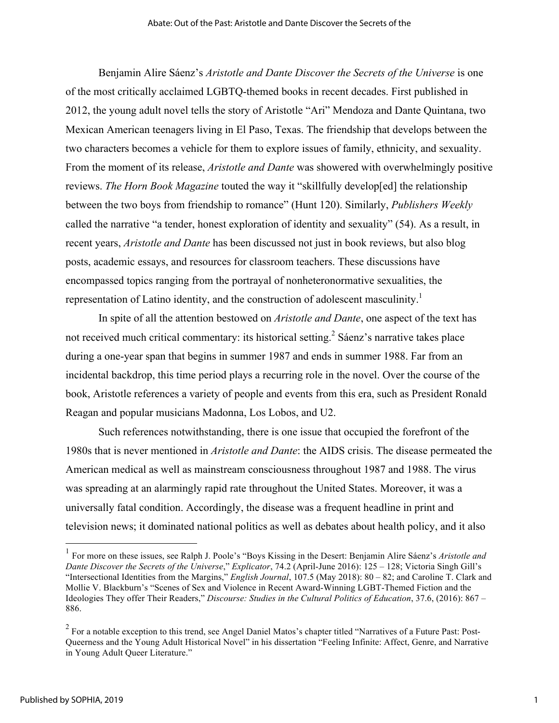Benjamin Alire Sáenz's *Aristotle and Dante Discover the Secrets of the Universe* is one of the most critically acclaimed LGBTQ-themed books in recent decades. First published in 2012, the young adult novel tells the story of Aristotle "Ari" Mendoza and Dante Quintana, two Mexican American teenagers living in El Paso, Texas. The friendship that develops between the two characters becomes a vehicle for them to explore issues of family, ethnicity, and sexuality. From the moment of its release, *Aristotle and Dante* was showered with overwhelmingly positive reviews. *The Horn Book Magazine* touted the way it "skillfully develop[ed] the relationship between the two boys from friendship to romance" (Hunt 120). Similarly, *Publishers Weekly* called the narrative "a tender, honest exploration of identity and sexuality" (54). As a result, in recent years, *Aristotle and Dante* has been discussed not just in book reviews, but also blog posts, academic essays, and resources for classroom teachers. These discussions have encompassed topics ranging from the portrayal of nonheteronormative sexualities, the representation of Latino identity, and the construction of adolescent masculinity.<sup>1</sup>

In spite of all the attention bestowed on *Aristotle and Dante*, one aspect of the text has not received much critical commentary: its historical setting.<sup>2</sup> Sáenz's narrative takes place during a one-year span that begins in summer 1987 and ends in summer 1988. Far from an incidental backdrop, this time period plays a recurring role in the novel. Over the course of the book, Aristotle references a variety of people and events from this era, such as President Ronald Reagan and popular musicians Madonna, Los Lobos, and U2.

Such references notwithstanding, there is one issue that occupied the forefront of the 1980s that is never mentioned in *Aristotle and Dante*: the AIDS crisis. The disease permeated the American medical as well as mainstream consciousness throughout 1987 and 1988. The virus was spreading at an alarmingly rapid rate throughout the United States. Moreover, it was a universally fatal condition. Accordingly, the disease was a frequent headline in print and television news; it dominated national politics as well as debates about health policy, and it also

 <sup>1</sup> For more on these issues, see Ralph J. Poole's "Boys Kissing in the Desert: Benjamin Alire Sáenz's *Aristotle and Dante Discover the Secrets of the Universe*," *Explicator*, 74.2 (April-June 2016): 125 – 128; Victoria Singh Gill's "Intersectional Identities from the Margins," *English Journal*, 107.5 (May 2018): 80 – 82; and Caroline T. Clark and Mollie V. Blackburn's "Scenes of Sex and Violence in Recent Award-Winning LGBT-Themed Fiction and the Ideologies They offer Their Readers," *Discourse: Studies in the Cultural Politics of Education*, 37.6, (2016): 867 – 886.

<sup>&</sup>lt;sup>2</sup> For a notable exception to this trend, see Angel Daniel Matos's chapter titled "Narratives of a Future Past: Post-Queerness and the Young Adult Historical Novel" in his dissertation "Feeling Infinite: Affect, Genre, and Narrative in Young Adult Queer Literature."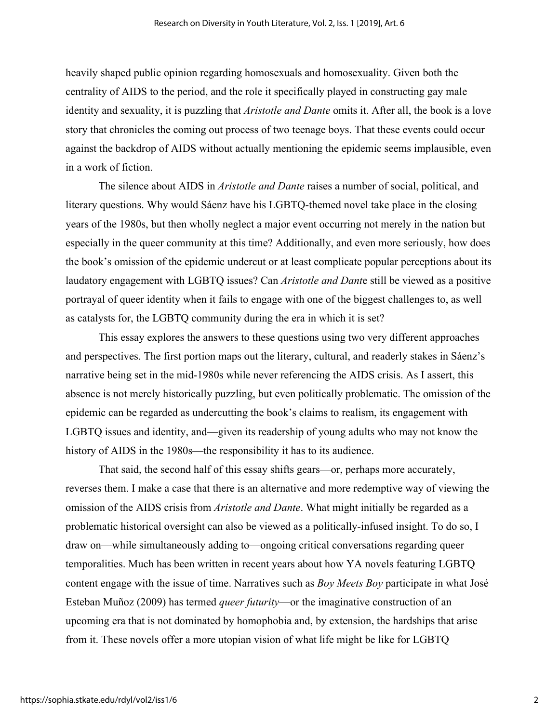heavily shaped public opinion regarding homosexuals and homosexuality. Given both the centrality of AIDS to the period, and the role it specifically played in constructing gay male identity and sexuality, it is puzzling that *Aristotle and Dante* omits it. After all, the book is a love story that chronicles the coming out process of two teenage boys. That these events could occur against the backdrop of AIDS without actually mentioning the epidemic seems implausible, even in a work of fiction.

The silence about AIDS in *Aristotle and Dante* raises a number of social, political, and literary questions. Why would Sáenz have his LGBTQ-themed novel take place in the closing years of the 1980s, but then wholly neglect a major event occurring not merely in the nation but especially in the queer community at this time? Additionally, and even more seriously, how does the book's omission of the epidemic undercut or at least complicate popular perceptions about its laudatory engagement with LGBTQ issues? Can *Aristotle and Dant*e still be viewed as a positive portrayal of queer identity when it fails to engage with one of the biggest challenges to, as well as catalysts for, the LGBTQ community during the era in which it is set?

This essay explores the answers to these questions using two very different approaches and perspectives. The first portion maps out the literary, cultural, and readerly stakes in Sáenz's narrative being set in the mid-1980s while never referencing the AIDS crisis. As I assert, this absence is not merely historically puzzling, but even politically problematic. The omission of the epidemic can be regarded as undercutting the book's claims to realism, its engagement with LGBTQ issues and identity, and—given its readership of young adults who may not know the history of AIDS in the 1980s—the responsibility it has to its audience.

That said, the second half of this essay shifts gears—or, perhaps more accurately, reverses them. I make a case that there is an alternative and more redemptive way of viewing the omission of the AIDS crisis from *Aristotle and Dante*. What might initially be regarded as a problematic historical oversight can also be viewed as a politically-infused insight. To do so, I draw on—while simultaneously adding to—ongoing critical conversations regarding queer temporalities. Much has been written in recent years about how YA novels featuring LGBTQ content engage with the issue of time. Narratives such as *Boy Meets Boy* participate in what José Esteban Muñoz (2009) has termed *queer futurity*—or the imaginative construction of an upcoming era that is not dominated by homophobia and, by extension, the hardships that arise from it. These novels offer a more utopian vision of what life might be like for LGBTQ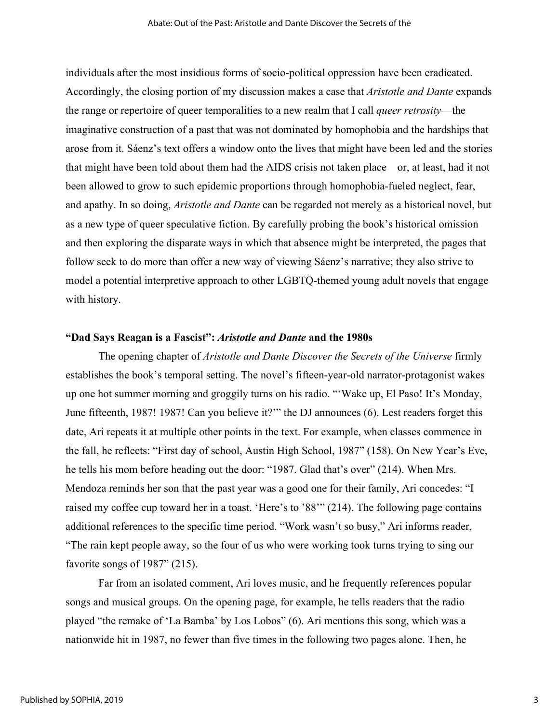individuals after the most insidious forms of socio-political oppression have been eradicated. Accordingly, the closing portion of my discussion makes a case that *Aristotle and Dante* expands the range or repertoire of queer temporalities to a new realm that I call *queer retrosity*—the imaginative construction of a past that was not dominated by homophobia and the hardships that arose from it. Sáenz's text offers a window onto the lives that might have been led and the stories that might have been told about them had the AIDS crisis not taken place—or, at least, had it not been allowed to grow to such epidemic proportions through homophobia-fueled neglect, fear, and apathy. In so doing, *Aristotle and Dante* can be regarded not merely as a historical novel, but as a new type of queer speculative fiction. By carefully probing the book's historical omission and then exploring the disparate ways in which that absence might be interpreted, the pages that follow seek to do more than offer a new way of viewing Sáenz's narrative; they also strive to model a potential interpretive approach to other LGBTQ-themed young adult novels that engage with history.

#### **"Dad Says Reagan is a Fascist":** *Aristotle and Dante* **and the 1980s**

The opening chapter of *Aristotle and Dante Discover the Secrets of the Universe* firmly establishes the book's temporal setting. The novel's fifteen-year-old narrator-protagonist wakes up one hot summer morning and groggily turns on his radio. "'Wake up, El Paso! It's Monday, June fifteenth, 1987! 1987! Can you believe it?'" the DJ announces (6). Lest readers forget this date, Ari repeats it at multiple other points in the text. For example, when classes commence in the fall, he reflects: "First day of school, Austin High School, 1987" (158). On New Year's Eve, he tells his mom before heading out the door: "1987. Glad that's over" (214). When Mrs. Mendoza reminds her son that the past year was a good one for their family, Ari concedes: "I raised my coffee cup toward her in a toast. 'Here's to '88'" (214). The following page contains additional references to the specific time period. "Work wasn't so busy," Ari informs reader, "The rain kept people away, so the four of us who were working took turns trying to sing our favorite songs of 1987" (215).

Far from an isolated comment, Ari loves music, and he frequently references popular songs and musical groups. On the opening page, for example, he tells readers that the radio played "the remake of 'La Bamba' by Los Lobos" (6). Ari mentions this song, which was a nationwide hit in 1987, no fewer than five times in the following two pages alone. Then, he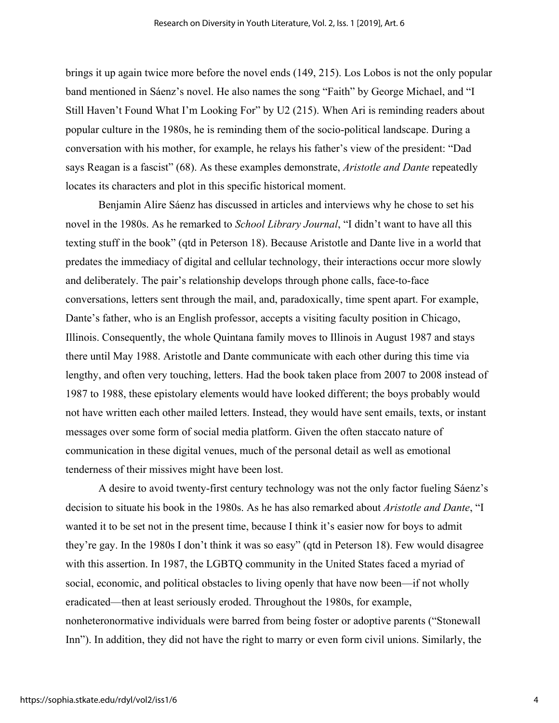brings it up again twice more before the novel ends (149, 215). Los Lobos is not the only popular band mentioned in Sáenz's novel. He also names the song "Faith" by George Michael, and "I Still Haven't Found What I'm Looking For" by U2 (215). When Ari is reminding readers about popular culture in the 1980s, he is reminding them of the socio-political landscape. During a conversation with his mother, for example, he relays his father's view of the president: "Dad says Reagan is a fascist" (68). As these examples demonstrate, *Aristotle and Dante* repeatedly locates its characters and plot in this specific historical moment.

Benjamin Alire Sáenz has discussed in articles and interviews why he chose to set his novel in the 1980s. As he remarked to *School Library Journal*, "I didn't want to have all this texting stuff in the book" (qtd in Peterson 18). Because Aristotle and Dante live in a world that predates the immediacy of digital and cellular technology, their interactions occur more slowly and deliberately. The pair's relationship develops through phone calls, face-to-face conversations, letters sent through the mail, and, paradoxically, time spent apart. For example, Dante's father, who is an English professor, accepts a visiting faculty position in Chicago, Illinois. Consequently, the whole Quintana family moves to Illinois in August 1987 and stays there until May 1988. Aristotle and Dante communicate with each other during this time via lengthy, and often very touching, letters. Had the book taken place from 2007 to 2008 instead of 1987 to 1988, these epistolary elements would have looked different; the boys probably would not have written each other mailed letters. Instead, they would have sent emails, texts, or instant messages over some form of social media platform. Given the often staccato nature of communication in these digital venues, much of the personal detail as well as emotional tenderness of their missives might have been lost.

A desire to avoid twenty-first century technology was not the only factor fueling Sáenz's decision to situate his book in the 1980s. As he has also remarked about *Aristotle and Dante*, "I wanted it to be set not in the present time, because I think it's easier now for boys to admit they're gay. In the 1980s I don't think it was so easy" (qtd in Peterson 18). Few would disagree with this assertion. In 1987, the LGBTQ community in the United States faced a myriad of social, economic, and political obstacles to living openly that have now been—if not wholly eradicated—then at least seriously eroded. Throughout the 1980s, for example, nonheteronormative individuals were barred from being foster or adoptive parents ("Stonewall Inn"). In addition, they did not have the right to marry or even form civil unions. Similarly, the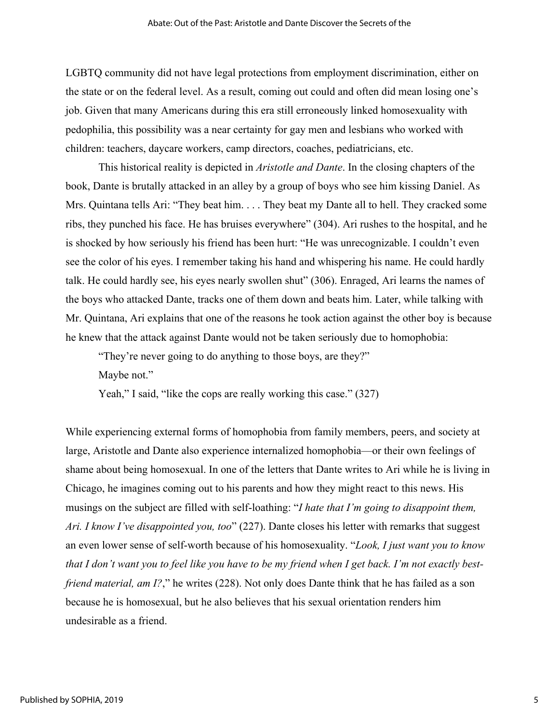LGBTQ community did not have legal protections from employment discrimination, either on the state or on the federal level. As a result, coming out could and often did mean losing one's job. Given that many Americans during this era still erroneously linked homosexuality with pedophilia, this possibility was a near certainty for gay men and lesbians who worked with children: teachers, daycare workers, camp directors, coaches, pediatricians, etc.

This historical reality is depicted in *Aristotle and Dante*. In the closing chapters of the book, Dante is brutally attacked in an alley by a group of boys who see him kissing Daniel. As Mrs. Quintana tells Ari: "They beat him. . . . They beat my Dante all to hell. They cracked some ribs, they punched his face. He has bruises everywhere" (304). Ari rushes to the hospital, and he is shocked by how seriously his friend has been hurt: "He was unrecognizable. I couldn't even see the color of his eyes. I remember taking his hand and whispering his name. He could hardly talk. He could hardly see, his eyes nearly swollen shut" (306). Enraged, Ari learns the names of the boys who attacked Dante, tracks one of them down and beats him. Later, while talking with Mr. Quintana, Ari explains that one of the reasons he took action against the other boy is because he knew that the attack against Dante would not be taken seriously due to homophobia:

"They're never going to do anything to those boys, are they?"

Maybe not."

Yeah," I said, "like the cops are really working this case." (327)

While experiencing external forms of homophobia from family members, peers, and society at large, Aristotle and Dante also experience internalized homophobia—or their own feelings of shame about being homosexual. In one of the letters that Dante writes to Ari while he is living in Chicago, he imagines coming out to his parents and how they might react to this news. His musings on the subject are filled with self-loathing: "*I hate that I'm going to disappoint them, Ari. I know I've disappointed you, too*" (227). Dante closes his letter with remarks that suggest an even lower sense of self-worth because of his homosexuality. "*Look, I just want you to know that I don't want you to feel like you have to be my friend when I get back. I'm not exactly bestfriend material, am I?*," he writes (228). Not only does Dante think that he has failed as a son because he is homosexual, but he also believes that his sexual orientation renders him undesirable as a friend.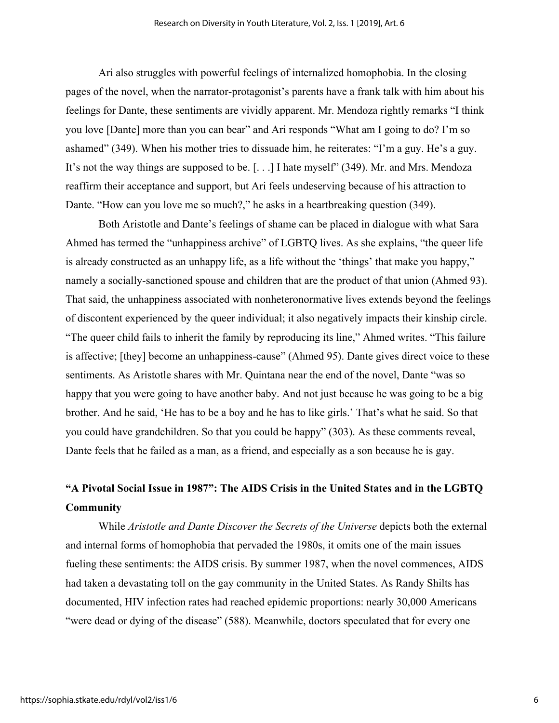Ari also struggles with powerful feelings of internalized homophobia. In the closing pages of the novel, when the narrator-protagonist's parents have a frank talk with him about his feelings for Dante, these sentiments are vividly apparent. Mr. Mendoza rightly remarks "I think you love [Dante] more than you can bear" and Ari responds "What am I going to do? I'm so ashamed" (349). When his mother tries to dissuade him, he reiterates: "I'm a guy. He's a guy. It's not the way things are supposed to be. [. . .] I hate myself" (349). Mr. and Mrs. Mendoza reaffirm their acceptance and support, but Ari feels undeserving because of his attraction to Dante. "How can you love me so much?," he asks in a heartbreaking question (349).

Both Aristotle and Dante's feelings of shame can be placed in dialogue with what Sara Ahmed has termed the "unhappiness archive" of LGBTQ lives. As she explains, "the queer life is already constructed as an unhappy life, as a life without the 'things' that make you happy," namely a socially-sanctioned spouse and children that are the product of that union (Ahmed 93). That said, the unhappiness associated with nonheteronormative lives extends beyond the feelings of discontent experienced by the queer individual; it also negatively impacts their kinship circle. "The queer child fails to inherit the family by reproducing its line," Ahmed writes. "This failure is affective; [they] become an unhappiness-cause" (Ahmed 95). Dante gives direct voice to these sentiments. As Aristotle shares with Mr. Quintana near the end of the novel, Dante "was so happy that you were going to have another baby. And not just because he was going to be a big brother. And he said, 'He has to be a boy and he has to like girls.' That's what he said. So that you could have grandchildren. So that you could be happy" (303). As these comments reveal, Dante feels that he failed as a man, as a friend, and especially as a son because he is gay.

## **"A Pivotal Social Issue in 1987": The AIDS Crisis in the United States and in the LGBTQ Community**

While *Aristotle and Dante Discover the Secrets of the Universe* depicts both the external and internal forms of homophobia that pervaded the 1980s, it omits one of the main issues fueling these sentiments: the AIDS crisis. By summer 1987, when the novel commences, AIDS had taken a devastating toll on the gay community in the United States. As Randy Shilts has documented, HIV infection rates had reached epidemic proportions: nearly 30,000 Americans "were dead or dying of the disease" (588). Meanwhile, doctors speculated that for every one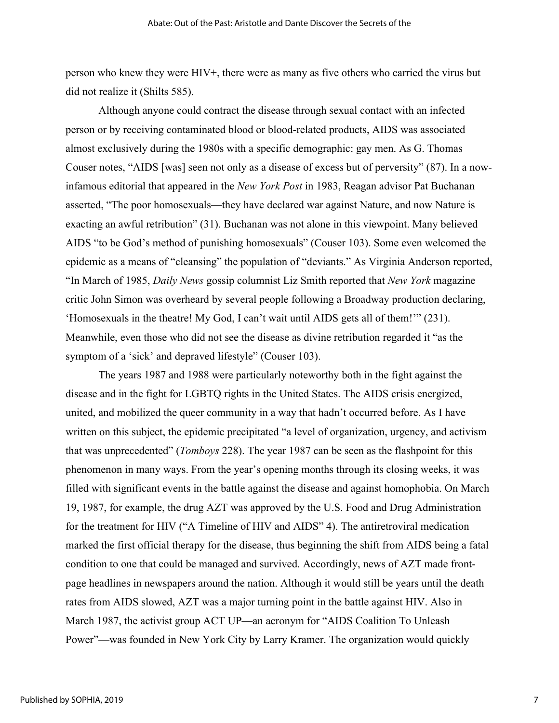person who knew they were HIV+, there were as many as five others who carried the virus but did not realize it (Shilts 585).

Although anyone could contract the disease through sexual contact with an infected person or by receiving contaminated blood or blood-related products, AIDS was associated almost exclusively during the 1980s with a specific demographic: gay men. As G. Thomas Couser notes, "AIDS [was] seen not only as a disease of excess but of perversity" (87). In a nowinfamous editorial that appeared in the *New York Post* in 1983, Reagan advisor Pat Buchanan asserted, "The poor homosexuals—they have declared war against Nature, and now Nature is exacting an awful retribution" (31). Buchanan was not alone in this viewpoint. Many believed AIDS "to be God's method of punishing homosexuals" (Couser 103). Some even welcomed the epidemic as a means of "cleansing" the population of "deviants." As Virginia Anderson reported, "In March of 1985, *Daily News* gossip columnist Liz Smith reported that *New York* magazine critic John Simon was overheard by several people following a Broadway production declaring, 'Homosexuals in the theatre! My God, I can't wait until AIDS gets all of them!'" (231). Meanwhile, even those who did not see the disease as divine retribution regarded it "as the symptom of a 'sick' and depraved lifestyle" (Couser 103).

The years 1987 and 1988 were particularly noteworthy both in the fight against the disease and in the fight for LGBTQ rights in the United States. The AIDS crisis energized, united, and mobilized the queer community in a way that hadn't occurred before. As I have written on this subject, the epidemic precipitated "a level of organization, urgency, and activism that was unprecedented" (*Tomboys* 228). The year 1987 can be seen as the flashpoint for this phenomenon in many ways. From the year's opening months through its closing weeks, it was filled with significant events in the battle against the disease and against homophobia. On March 19, 1987, for example, the drug AZT was approved by the U.S. Food and Drug Administration for the treatment for HIV ("A Timeline of HIV and AIDS" 4). The antiretroviral medication marked the first official therapy for the disease, thus beginning the shift from AIDS being a fatal condition to one that could be managed and survived. Accordingly, news of AZT made frontpage headlines in newspapers around the nation. Although it would still be years until the death rates from AIDS slowed, AZT was a major turning point in the battle against HIV. Also in March 1987, the activist group ACT UP—an acronym for "AIDS Coalition To Unleash Power"—was founded in New York City by Larry Kramer. The organization would quickly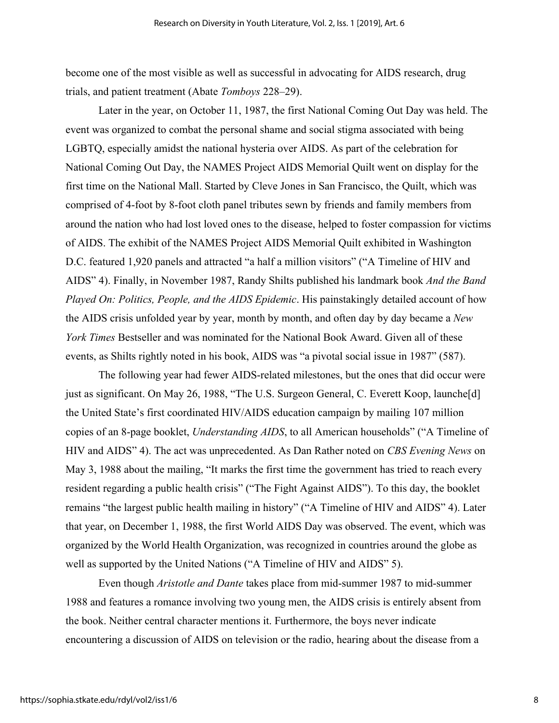become one of the most visible as well as successful in advocating for AIDS research, drug trials, and patient treatment (Abate *Tomboys* 228–29).

Later in the year, on October 11, 1987, the first National Coming Out Day was held. The event was organized to combat the personal shame and social stigma associated with being LGBTQ, especially amidst the national hysteria over AIDS. As part of the celebration for National Coming Out Day, the NAMES Project AIDS Memorial Quilt went on display for the first time on the National Mall. Started by Cleve Jones in San Francisco, the Quilt, which was comprised of 4-foot by 8-foot cloth panel tributes sewn by friends and family members from around the nation who had lost loved ones to the disease, helped to foster compassion for victims of AIDS. The exhibit of the NAMES Project AIDS Memorial Quilt exhibited in Washington D.C. featured 1,920 panels and attracted "a half a million visitors" ("A Timeline of HIV and AIDS" 4). Finally, in November 1987, Randy Shilts published his landmark book *And the Band Played On: Politics, People, and the AIDS Epidemic*. His painstakingly detailed account of how the AIDS crisis unfolded year by year, month by month, and often day by day became a *New York Times* Bestseller and was nominated for the National Book Award. Given all of these events, as Shilts rightly noted in his book, AIDS was "a pivotal social issue in 1987" (587).

The following year had fewer AIDS-related milestones, but the ones that did occur were just as significant. On May 26, 1988, "The U.S. Surgeon General, C. Everett Koop, launche[d] the United State's first coordinated HIV/AIDS education campaign by mailing 107 million copies of an 8-page booklet, *Understanding AIDS*, to all American households" ("A Timeline of HIV and AIDS" 4). The act was unprecedented. As Dan Rather noted on *CBS Evening News* on May 3, 1988 about the mailing, "It marks the first time the government has tried to reach every resident regarding a public health crisis" ("The Fight Against AIDS"). To this day, the booklet remains "the largest public health mailing in history" ("A Timeline of HIV and AIDS" 4). Later that year, on December 1, 1988, the first World AIDS Day was observed. The event, which was organized by the World Health Organization, was recognized in countries around the globe as well as supported by the United Nations ("A Timeline of HIV and AIDS" 5).

Even though *Aristotle and Dante* takes place from mid-summer 1987 to mid-summer 1988 and features a romance involving two young men, the AIDS crisis is entirely absent from the book. Neither central character mentions it. Furthermore, the boys never indicate encountering a discussion of AIDS on television or the radio, hearing about the disease from a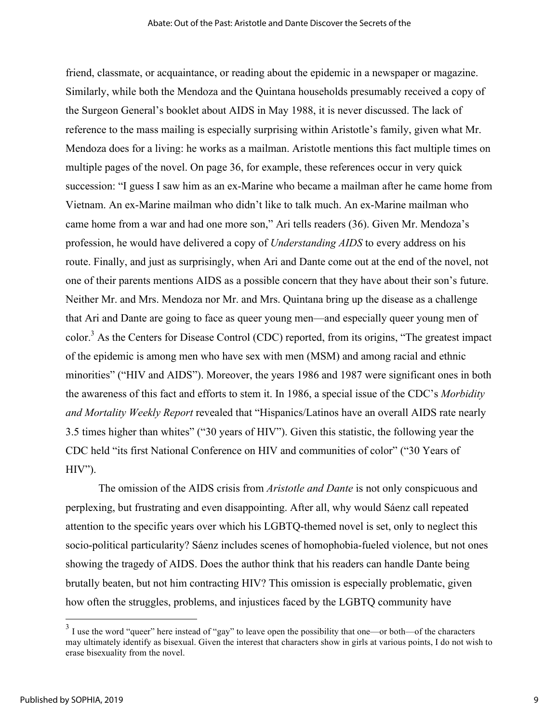friend, classmate, or acquaintance, or reading about the epidemic in a newspaper or magazine. Similarly, while both the Mendoza and the Quintana households presumably received a copy of the Surgeon General's booklet about AIDS in May 1988, it is never discussed. The lack of reference to the mass mailing is especially surprising within Aristotle's family, given what Mr. Mendoza does for a living: he works as a mailman. Aristotle mentions this fact multiple times on multiple pages of the novel. On page 36, for example, these references occur in very quick succession: "I guess I saw him as an ex-Marine who became a mailman after he came home from Vietnam. An ex-Marine mailman who didn't like to talk much. An ex-Marine mailman who came home from a war and had one more son," Ari tells readers (36). Given Mr. Mendoza's profession, he would have delivered a copy of *Understanding AIDS* to every address on his route. Finally, and just as surprisingly, when Ari and Dante come out at the end of the novel, not one of their parents mentions AIDS as a possible concern that they have about their son's future. Neither Mr. and Mrs. Mendoza nor Mr. and Mrs. Quintana bring up the disease as a challenge that Ari and Dante are going to face as queer young men—and especially queer young men of color.3 As the Centers for Disease Control (CDC) reported, from its origins, "The greatest impact of the epidemic is among men who have sex with men (MSM) and among racial and ethnic minorities" ("HIV and AIDS"). Moreover, the years 1986 and 1987 were significant ones in both the awareness of this fact and efforts to stem it. In 1986, a special issue of the CDC's *Morbidity and Mortality Weekly Report* revealed that "Hispanics/Latinos have an overall AIDS rate nearly 3.5 times higher than whites" ("30 years of HIV"). Given this statistic, the following year the CDC held "its first National Conference on HIV and communities of color" ("30 Years of  $HIV$ ").

The omission of the AIDS crisis from *Aristotle and Dante* is not only conspicuous and perplexing, but frustrating and even disappointing. After all, why would Sáenz call repeated attention to the specific years over which his LGBTQ-themed novel is set, only to neglect this socio-political particularity? Sáenz includes scenes of homophobia-fueled violence, but not ones showing the tragedy of AIDS. Does the author think that his readers can handle Dante being brutally beaten, but not him contracting HIV? This omission is especially problematic, given how often the struggles, problems, and injustices faced by the LGBTQ community have

 $3$  I use the word "queer" here instead of "gay" to leave open the possibility that one—or both—of the characters may ultimately identify as bisexual. Given the interest that characters show in girls at various points, I do not wish to erase bisexuality from the novel.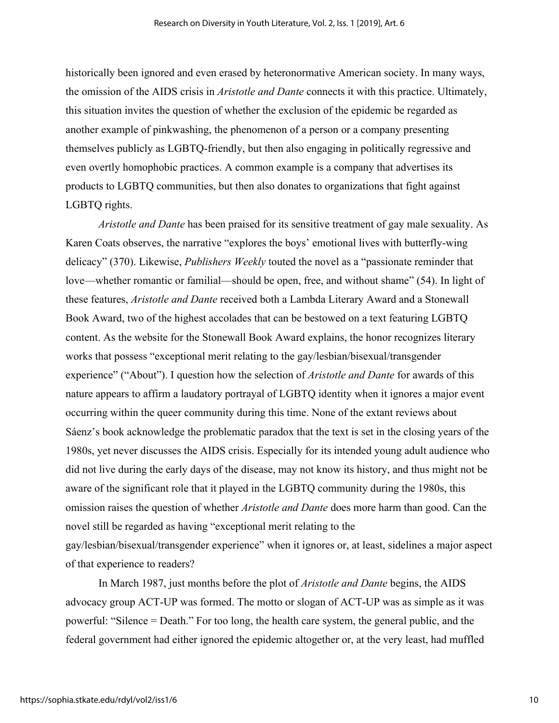historically been ignored and even erased by heteronormative American society. In many ways, the omission of the AIDS crisis in *Aristotle and Dante* connects it with this practice. Ultimately, this situation invites the question of whether the exclusion of the epidemic be regarded as another example of pinkwashing, the phenomenon of a person or a company presenting themselves publicly as LGBTQ-friendly, but then also engaging in politically regressive and even overtly homophobic practices. A common example is a company that advertises its products to LGBTQ communities, but then also donates to organizations that fight against LGBTQ rights.

*Aristotle and Dante* has been praised for its sensitive treatment of gay male sexuality. As Karen Coats observes, the narrative "explores the boys' emotional lives with butterfly-wing delicacy" (370). Likewise, *Publishers Weekly* touted the novel as a "passionate reminder that love—whether romantic or familial—should be open, free, and without shame" (54). In light of these features, *Aristotle and Dante* received both a Lambda Literary Award and a Stonewall Book Award, two of the highest accolades that can be bestowed on a text featuring LGBTQ content. As the website for the Stonewall Book Award explains, the honor recognizes literary works that possess "exceptional merit relating to the gay/lesbian/bisexual/transgender experience" ("About"). I question how the selection of *Aristotle and Dante* for awards of this nature appears to affirm a laudatory portrayal of LGBTQ identity when it ignores a major event occurring within the queer community during this time. None of the extant reviews about Sáenz's book acknowledge the problematic paradox that the text is set in the closing years of the 1980s, yet never discusses the AIDS crisis. Especially for its intended young adult audience who did not live during the early days of the disease, may not know its history, and thus might not be aware of the significant role that it played in the LGBTQ community during the 1980s, this omission raises the question of whether *Aristotle and Dante* does more harm than good. Can the novel still be regarded as having "exceptional merit relating to the gay/lesbian/bisexual/transgender experience" when it ignores or, at least, sidelines a major aspect of that experience to readers?

In March 1987, just months before the plot of *Aristotle and Dante* begins, the AIDS advocacy group ACT-UP was formed. The motto or slogan of ACT-UP was as simple as it was powerful: "Silence = Death." For too long, the health care system, the general public, and the federal government had either ignored the epidemic altogether or, at the very least, had muffled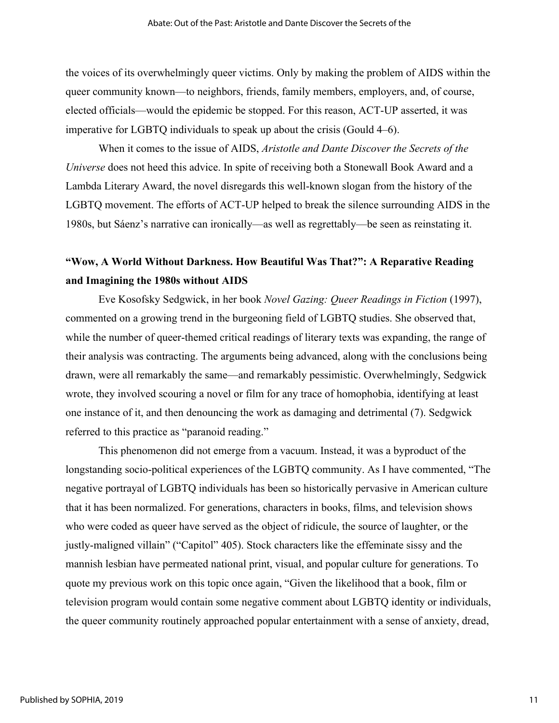the voices of its overwhelmingly queer victims. Only by making the problem of AIDS within the queer community known—to neighbors, friends, family members, employers, and, of course, elected officials—would the epidemic be stopped. For this reason, ACT-UP asserted, it was imperative for LGBTQ individuals to speak up about the crisis (Gould 4–6).

When it comes to the issue of AIDS, *Aristotle and Dante Discover the Secrets of the Universe* does not heed this advice. In spite of receiving both a Stonewall Book Award and a Lambda Literary Award, the novel disregards this well-known slogan from the history of the LGBTQ movement. The efforts of ACT-UP helped to break the silence surrounding AIDS in the 1980s, but Sáenz's narrative can ironically—as well as regrettably—be seen as reinstating it.

## **"Wow, A World Without Darkness. How Beautiful Was That?": A Reparative Reading and Imagining the 1980s without AIDS**

Eve Kosofsky Sedgwick, in her book *Novel Gazing: Queer Readings in Fiction* (1997), commented on a growing trend in the burgeoning field of LGBTQ studies. She observed that, while the number of queer-themed critical readings of literary texts was expanding, the range of their analysis was contracting. The arguments being advanced, along with the conclusions being drawn, were all remarkably the same—and remarkably pessimistic. Overwhelmingly, Sedgwick wrote, they involved scouring a novel or film for any trace of homophobia, identifying at least one instance of it, and then denouncing the work as damaging and detrimental (7). Sedgwick referred to this practice as "paranoid reading."

This phenomenon did not emerge from a vacuum. Instead, it was a byproduct of the longstanding socio-political experiences of the LGBTQ community. As I have commented, "The negative portrayal of LGBTQ individuals has been so historically pervasive in American culture that it has been normalized. For generations, characters in books, films, and television shows who were coded as queer have served as the object of ridicule, the source of laughter, or the justly-maligned villain" ("Capitol" 405). Stock characters like the effeminate sissy and the mannish lesbian have permeated national print, visual, and popular culture for generations. To quote my previous work on this topic once again, "Given the likelihood that a book, film or television program would contain some negative comment about LGBTQ identity or individuals, the queer community routinely approached popular entertainment with a sense of anxiety, dread,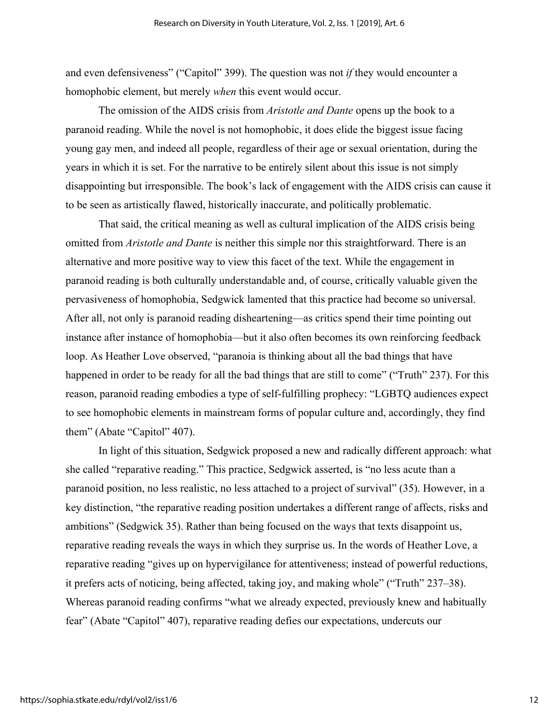and even defensiveness" ("Capitol" 399). The question was not *if* they would encounter a homophobic element, but merely *when* this event would occur.

The omission of the AIDS crisis from *Aristotle and Dante* opens up the book to a paranoid reading. While the novel is not homophobic, it does elide the biggest issue facing young gay men, and indeed all people, regardless of their age or sexual orientation, during the years in which it is set. For the narrative to be entirely silent about this issue is not simply disappointing but irresponsible. The book's lack of engagement with the AIDS crisis can cause it to be seen as artistically flawed, historically inaccurate, and politically problematic.

That said, the critical meaning as well as cultural implication of the AIDS crisis being omitted from *Aristotle and Dante* is neither this simple nor this straightforward. There is an alternative and more positive way to view this facet of the text. While the engagement in paranoid reading is both culturally understandable and, of course, critically valuable given the pervasiveness of homophobia, Sedgwick lamented that this practice had become so universal. After all, not only is paranoid reading disheartening—as critics spend their time pointing out instance after instance of homophobia—but it also often becomes its own reinforcing feedback loop. As Heather Love observed, "paranoia is thinking about all the bad things that have happened in order to be ready for all the bad things that are still to come" ("Truth" 237). For this reason, paranoid reading embodies a type of self-fulfilling prophecy: "LGBTQ audiences expect to see homophobic elements in mainstream forms of popular culture and, accordingly, they find them" (Abate "Capitol" 407).

In light of this situation, Sedgwick proposed a new and radically different approach: what she called "reparative reading." This practice, Sedgwick asserted, is "no less acute than a paranoid position, no less realistic, no less attached to a project of survival" (35). However, in a key distinction, "the reparative reading position undertakes a different range of affects, risks and ambitions" (Sedgwick 35). Rather than being focused on the ways that texts disappoint us, reparative reading reveals the ways in which they surprise us. In the words of Heather Love, a reparative reading "gives up on hypervigilance for attentiveness; instead of powerful reductions, it prefers acts of noticing, being affected, taking joy, and making whole" ("Truth" 237–38). Whereas paranoid reading confirms "what we already expected, previously knew and habitually fear" (Abate "Capitol" 407), reparative reading defies our expectations, undercuts our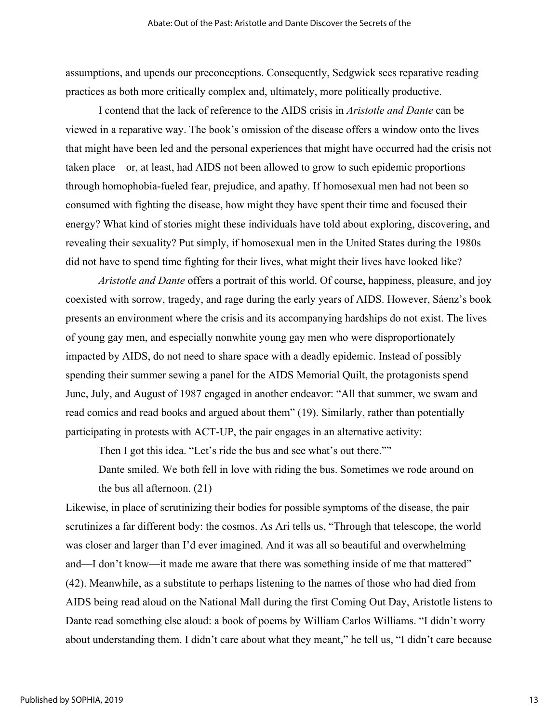assumptions, and upends our preconceptions. Consequently, Sedgwick sees reparative reading practices as both more critically complex and, ultimately, more politically productive.

I contend that the lack of reference to the AIDS crisis in *Aristotle and Dante* can be viewed in a reparative way. The book's omission of the disease offers a window onto the lives that might have been led and the personal experiences that might have occurred had the crisis not taken place—or, at least, had AIDS not been allowed to grow to such epidemic proportions through homophobia-fueled fear, prejudice, and apathy. If homosexual men had not been so consumed with fighting the disease, how might they have spent their time and focused their energy? What kind of stories might these individuals have told about exploring, discovering, and revealing their sexuality? Put simply, if homosexual men in the United States during the 1980s did not have to spend time fighting for their lives, what might their lives have looked like?

*Aristotle and Dante* offers a portrait of this world. Of course, happiness, pleasure, and joy coexisted with sorrow, tragedy, and rage during the early years of AIDS. However, Sáenz's book presents an environment where the crisis and its accompanying hardships do not exist. The lives of young gay men, and especially nonwhite young gay men who were disproportionately impacted by AIDS, do not need to share space with a deadly epidemic. Instead of possibly spending their summer sewing a panel for the AIDS Memorial Quilt, the protagonists spend June, July, and August of 1987 engaged in another endeavor: "All that summer, we swam and read comics and read books and argued about them" (19). Similarly, rather than potentially participating in protests with ACT-UP, the pair engages in an alternative activity:

Then I got this idea. "Let's ride the bus and see what's out there.""

Dante smiled. We both fell in love with riding the bus. Sometimes we rode around on the bus all afternoon. (21)

Likewise, in place of scrutinizing their bodies for possible symptoms of the disease, the pair scrutinizes a far different body: the cosmos. As Ari tells us, "Through that telescope, the world was closer and larger than I'd ever imagined. And it was all so beautiful and overwhelming and—I don't know—it made me aware that there was something inside of me that mattered" (42). Meanwhile, as a substitute to perhaps listening to the names of those who had died from AIDS being read aloud on the National Mall during the first Coming Out Day, Aristotle listens to Dante read something else aloud: a book of poems by William Carlos Williams. "I didn't worry about understanding them. I didn't care about what they meant," he tell us, "I didn't care because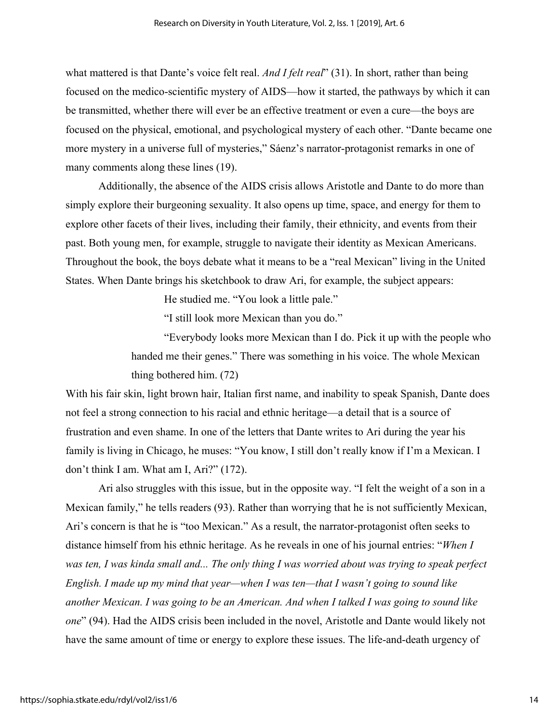what mattered is that Dante's voice felt real. *And I felt real*" (31). In short, rather than being focused on the medico-scientific mystery of AIDS—how it started, the pathways by which it can be transmitted, whether there will ever be an effective treatment or even a cure—the boys are focused on the physical, emotional, and psychological mystery of each other. "Dante became one more mystery in a universe full of mysteries," Sáenz's narrator-protagonist remarks in one of many comments along these lines (19).

Additionally, the absence of the AIDS crisis allows Aristotle and Dante to do more than simply explore their burgeoning sexuality. It also opens up time, space, and energy for them to explore other facets of their lives, including their family, their ethnicity, and events from their past. Both young men, for example, struggle to navigate their identity as Mexican Americans. Throughout the book, the boys debate what it means to be a "real Mexican" living in the United States. When Dante brings his sketchbook to draw Ari, for example, the subject appears:

He studied me. "You look a little pale."

"I still look more Mexican than you do."

"Everybody looks more Mexican than I do. Pick it up with the people who handed me their genes." There was something in his voice. The whole Mexican thing bothered him. (72)

With his fair skin, light brown hair, Italian first name, and inability to speak Spanish, Dante does not feel a strong connection to his racial and ethnic heritage—a detail that is a source of frustration and even shame. In one of the letters that Dante writes to Ari during the year his family is living in Chicago, he muses: "You know, I still don't really know if I'm a Mexican. I don't think I am. What am I, Ari?" (172).

Ari also struggles with this issue, but in the opposite way. "I felt the weight of a son in a Mexican family," he tells readers (93). Rather than worrying that he is not sufficiently Mexican, Ari's concern is that he is "too Mexican." As a result, the narrator-protagonist often seeks to distance himself from his ethnic heritage. As he reveals in one of his journal entries: "*When I*  was ten, I was kinda small and... The only thing I was worried about was trying to speak perfect *English. I made up my mind that year—when I was ten—that I wasn't going to sound like another Mexican. I was going to be an American. And when I talked I was going to sound like one*" (94). Had the AIDS crisis been included in the novel, Aristotle and Dante would likely not have the same amount of time or energy to explore these issues. The life-and-death urgency of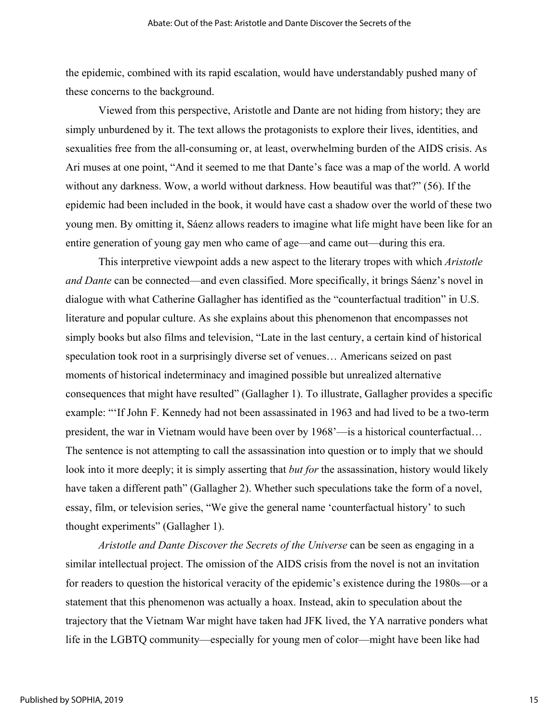the epidemic, combined with its rapid escalation, would have understandably pushed many of these concerns to the background.

Viewed from this perspective, Aristotle and Dante are not hiding from history; they are simply unburdened by it. The text allows the protagonists to explore their lives, identities, and sexualities free from the all-consuming or, at least, overwhelming burden of the AIDS crisis. As Ari muses at one point, "And it seemed to me that Dante's face was a map of the world. A world without any darkness. Wow, a world without darkness. How beautiful was that?" (56). If the epidemic had been included in the book, it would have cast a shadow over the world of these two young men. By omitting it, Sáenz allows readers to imagine what life might have been like for an entire generation of young gay men who came of age—and came out—during this era.

This interpretive viewpoint adds a new aspect to the literary tropes with which *Aristotle and Dante* can be connected—and even classified. More specifically, it brings Sáenz's novel in dialogue with what Catherine Gallagher has identified as the "counterfactual tradition" in U.S. literature and popular culture. As she explains about this phenomenon that encompasses not simply books but also films and television, "Late in the last century, a certain kind of historical speculation took root in a surprisingly diverse set of venues… Americans seized on past moments of historical indeterminacy and imagined possible but unrealized alternative consequences that might have resulted" (Gallagher 1). To illustrate, Gallagher provides a specific example: "'If John F. Kennedy had not been assassinated in 1963 and had lived to be a two-term president, the war in Vietnam would have been over by 1968'—is a historical counterfactual… The sentence is not attempting to call the assassination into question or to imply that we should look into it more deeply; it is simply asserting that *but for* the assassination, history would likely have taken a different path" (Gallagher 2). Whether such speculations take the form of a novel, essay, film, or television series, "We give the general name 'counterfactual history' to such thought experiments" (Gallagher 1).

*Aristotle and Dante Discover the Secrets of the Universe* can be seen as engaging in a similar intellectual project. The omission of the AIDS crisis from the novel is not an invitation for readers to question the historical veracity of the epidemic's existence during the 1980s—or a statement that this phenomenon was actually a hoax. Instead, akin to speculation about the trajectory that the Vietnam War might have taken had JFK lived, the YA narrative ponders what life in the LGBTQ community—especially for young men of color—might have been like had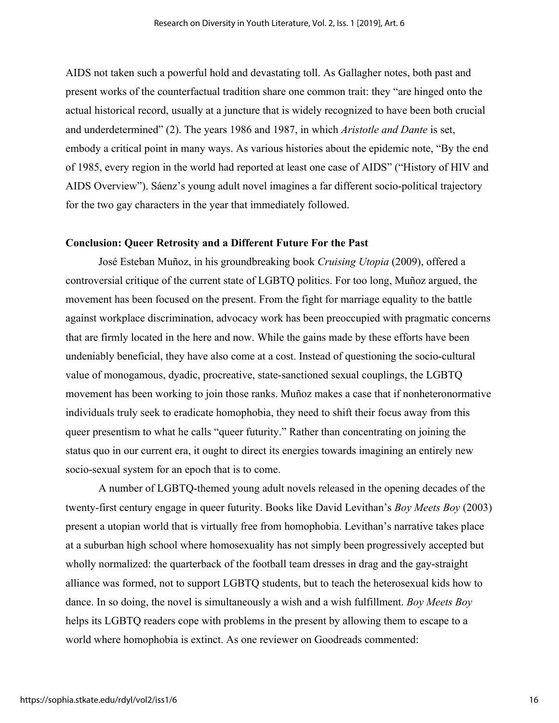AIDS not taken such a powerful hold and devastating toll. As Gallagher notes, both past and present works of the counterfactual tradition share one common trait: they "are hinged onto the actual historical record, usually at a juncture that is widely recognized to have been both crucial and underdetermined" (2). The years 1986 and 1987, in which *Aristotle and Dante* is set, embody a critical point in many ways. As various histories about the epidemic note, "By the end of 1985, every region in the world had reported at least one case of AIDS" ("History of HIV and AIDS Overview"). Sáenz's young adult novel imagines a far different socio-political trajectory for the two gay characters in the year that immediately followed.

#### **Conclusion: Queer Retrosity and a Different Future For the Past**

José Esteban Muñoz, in his groundbreaking book *Cruising Utopia* (2009), offered a controversial critique of the current state of LGBTQ politics. For too long, Muñoz argued, the movement has been focused on the present. From the fight for marriage equality to the battle against workplace discrimination, advocacy work has been preoccupied with pragmatic concerns that are firmly located in the here and now. While the gains made by these efforts have been undeniably beneficial, they have also come at a cost. Instead of questioning the socio-cultural value of monogamous, dyadic, procreative, state-sanctioned sexual couplings, the LGBTQ movement has been working to join those ranks. Muñoz makes a case that if nonheteronormative individuals truly seek to eradicate homophobia, they need to shift their focus away from this queer presentism to what he calls "queer futurity." Rather than concentrating on joining the status quo in our current era, it ought to direct its energies towards imagining an entirely new socio-sexual system for an epoch that is to come.

A number of LGBTQ-themed young adult novels released in the opening decades of the twenty-first century engage in queer futurity. Books like David Levithan's *Boy Meets Boy* (2003) present a utopian world that is virtually free from homophobia. Levithan's narrative takes place at a suburban high school where homosexuality has not simply been progressively accepted but wholly normalized: the quarterback of the football team dresses in drag and the gay-straight alliance was formed, not to support LGBTQ students, but to teach the heterosexual kids how to dance. In so doing, the novel is simultaneously a wish and a wish fulfillment. *Boy Meets Boy* helps its LGBTQ readers cope with problems in the present by allowing them to escape to a world where homophobia is extinct. As one reviewer on Goodreads commented: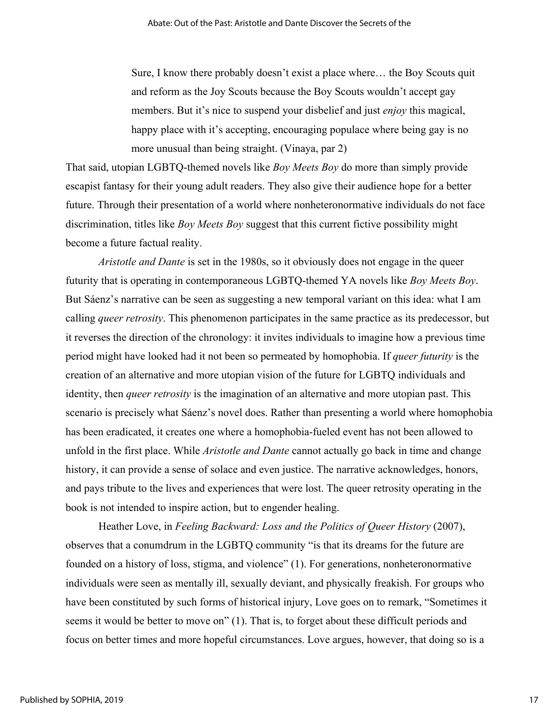Sure, I know there probably doesn't exist a place where… the Boy Scouts quit and reform as the Joy Scouts because the Boy Scouts wouldn't accept gay members. But it's nice to suspend your disbelief and just *enjoy* this magical, happy place with it's accepting, encouraging populace where being gay is no more unusual than being straight. (Vinaya, par 2)

That said, utopian LGBTQ-themed novels like *Boy Meets Boy* do more than simply provide escapist fantasy for their young adult readers. They also give their audience hope for a better future. Through their presentation of a world where nonheteronormative individuals do not face discrimination, titles like *Boy Meets Boy* suggest that this current fictive possibility might become a future factual reality.

*Aristotle and Dante* is set in the 1980s, so it obviously does not engage in the queer futurity that is operating in contemporaneous LGBTQ-themed YA novels like *Boy Meets Boy*. But Sáenz's narrative can be seen as suggesting a new temporal variant on this idea: what I am calling *queer retrosity*. This phenomenon participates in the same practice as its predecessor, but it reverses the direction of the chronology: it invites individuals to imagine how a previous time period might have looked had it not been so permeated by homophobia. If *queer futurity* is the creation of an alternative and more utopian vision of the future for LGBTQ individuals and identity, then *queer retrosity* is the imagination of an alternative and more utopian past. This scenario is precisely what Sáenz's novel does. Rather than presenting a world where homophobia has been eradicated, it creates one where a homophobia-fueled event has not been allowed to unfold in the first place. While *Aristotle and Dante* cannot actually go back in time and change history, it can provide a sense of solace and even justice. The narrative acknowledges, honors, and pays tribute to the lives and experiences that were lost. The queer retrosity operating in the book is not intended to inspire action, but to engender healing.

Heather Love, in *Feeling Backward: Loss and the Politics of Queer History* (2007), observes that a conumdrum in the LGBTQ community "is that its dreams for the future are founded on a history of loss, stigma, and violence" (1). For generations, nonheteronormative individuals were seen as mentally ill, sexually deviant, and physically freakish. For groups who have been constituted by such forms of historical injury, Love goes on to remark, "Sometimes it seems it would be better to move on" (1). That is, to forget about these difficult periods and focus on better times and more hopeful circumstances. Love argues, however, that doing so is a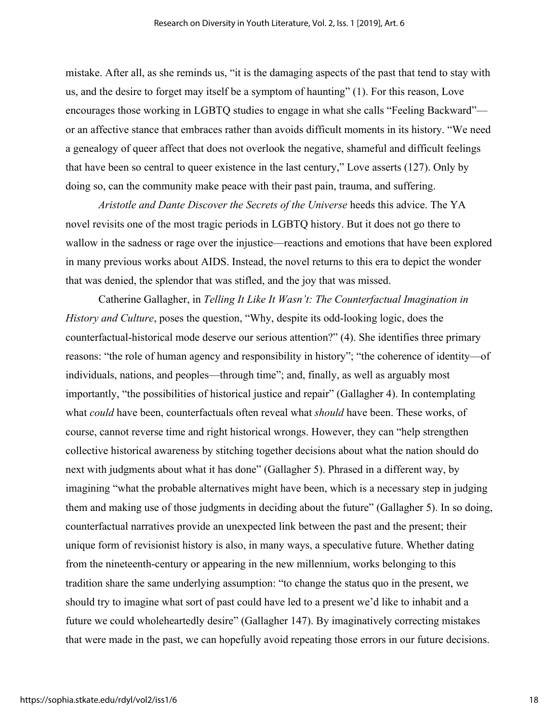mistake. After all, as she reminds us, "it is the damaging aspects of the past that tend to stay with us, and the desire to forget may itself be a symptom of haunting" (1). For this reason, Love encourages those working in LGBTQ studies to engage in what she calls "Feeling Backward" or an affective stance that embraces rather than avoids difficult moments in its history. "We need a genealogy of queer affect that does not overlook the negative, shameful and difficult feelings that have been so central to queer existence in the last century," Love asserts (127). Only by doing so, can the community make peace with their past pain, trauma, and suffering.

*Aristotle and Dante Discover the Secrets of the Universe* heeds this advice. The YA novel revisits one of the most tragic periods in LGBTQ history. But it does not go there to wallow in the sadness or rage over the injustice—reactions and emotions that have been explored in many previous works about AIDS. Instead, the novel returns to this era to depict the wonder that was denied, the splendor that was stifled, and the joy that was missed.

Catherine Gallagher, in *Telling It Like It Wasn't: The Counterfactual Imagination in History and Culture*, poses the question, "Why, despite its odd-looking logic, does the counterfactual-historical mode deserve our serious attention?" (4). She identifies three primary reasons: "the role of human agency and responsibility in history"; "the coherence of identity—of individuals, nations, and peoples—through time"; and, finally, as well as arguably most importantly, "the possibilities of historical justice and repair" (Gallagher 4). In contemplating what *could* have been, counterfactuals often reveal what *should* have been. These works, of course, cannot reverse time and right historical wrongs. However, they can "help strengthen collective historical awareness by stitching together decisions about what the nation should do next with judgments about what it has done" (Gallagher 5). Phrased in a different way, by imagining "what the probable alternatives might have been, which is a necessary step in judging them and making use of those judgments in deciding about the future" (Gallagher 5). In so doing, counterfactual narratives provide an unexpected link between the past and the present; their unique form of revisionist history is also, in many ways, a speculative future. Whether dating from the nineteenth-century or appearing in the new millennium, works belonging to this tradition share the same underlying assumption: "to change the status quo in the present, we should try to imagine what sort of past could have led to a present we'd like to inhabit and a future we could wholeheartedly desire" (Gallagher 147). By imaginatively correcting mistakes that were made in the past, we can hopefully avoid repeating those errors in our future decisions.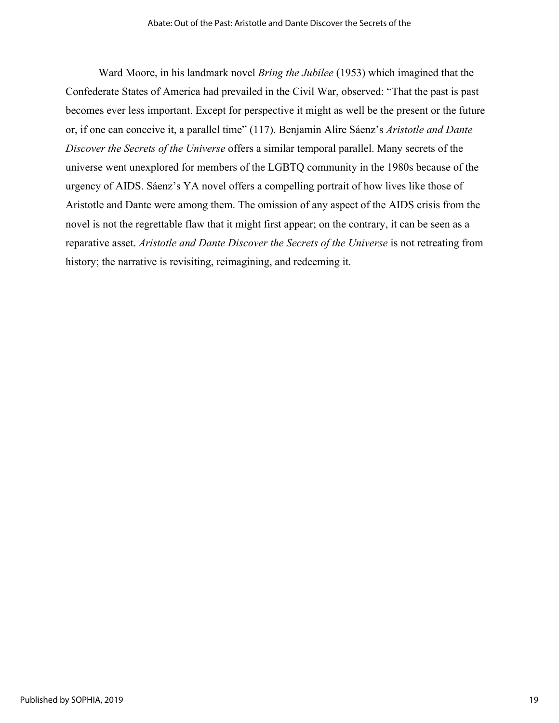Ward Moore, in his landmark novel *Bring the Jubilee* (1953) which imagined that the Confederate States of America had prevailed in the Civil War, observed: "That the past is past becomes ever less important. Except for perspective it might as well be the present or the future or, if one can conceive it, a parallel time" (117). Benjamin Alire Sáenz's *Aristotle and Dante Discover the Secrets of the Universe* offers a similar temporal parallel. Many secrets of the universe went unexplored for members of the LGBTQ community in the 1980s because of the urgency of AIDS. Sáenz's YA novel offers a compelling portrait of how lives like those of Aristotle and Dante were among them. The omission of any aspect of the AIDS crisis from the novel is not the regrettable flaw that it might first appear; on the contrary, it can be seen as a reparative asset. *Aristotle and Dante Discover the Secrets of the Universe* is not retreating from history; the narrative is revisiting, reimagining, and redeeming it.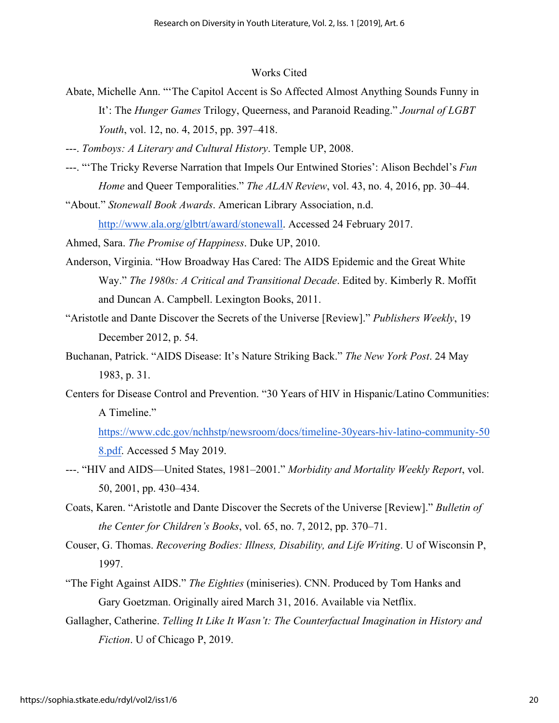#### Works Cited

- Abate, Michelle Ann. "'The Capitol Accent is So Affected Almost Anything Sounds Funny in It': The *Hunger Games* Trilogy, Queerness, and Paranoid Reading." *Journal of LGBT Youth*, vol. 12, no. 4, 2015, pp. 397–418.
- ---. *Tomboys: A Literary and Cultural History*. Temple UP, 2008.
- ---. "'The Tricky Reverse Narration that Impels Our Entwined Stories': Alison Bechdel's *Fun Home* and Queer Temporalities." *The ALAN Review*, vol. 43, no. 4, 2016, pp. 30–44.
- "About." *Stonewall Book Awards*. American Library Association, n.d. http://www.ala.org/glbtrt/award/stonewall. Accessed 24 February 2017.

Ahmed, Sara. *The Promise of Happiness*. Duke UP, 2010.

- Anderson, Virginia. "How Broadway Has Cared: The AIDS Epidemic and the Great White Way." *The 1980s: A Critical and Transitional Decade*. Edited by. Kimberly R. Moffit and Duncan A. Campbell. Lexington Books, 2011.
- "Aristotle and Dante Discover the Secrets of the Universe [Review]." *Publishers Weekly*, 19 December 2012, p. 54.
- Buchanan, Patrick. "AIDS Disease: It's Nature Striking Back." *The New York Post*. 24 May 1983, p. 31.
- Centers for Disease Control and Prevention. "30 Years of HIV in Hispanic/Latino Communities: A Timeline."

https://www.cdc.gov/nchhstp/newsroom/docs/timeline-30years-hiv-latino-community-50 8.pdf. Accessed 5 May 2019.

- ---. "HIV and AIDS—United States, 1981–2001." *Morbidity and Mortality Weekly Report*, vol. 50, 2001, pp. 430–434.
- Coats, Karen. "Aristotle and Dante Discover the Secrets of the Universe [Review]." *Bulletin of the Center for Children's Books*, vol. 65, no. 7, 2012, pp. 370–71.
- Couser, G. Thomas. *Recovering Bodies: Illness, Disability, and Life Writing*. U of Wisconsin P, 1997.
- "The Fight Against AIDS." *The Eighties* (miniseries). CNN. Produced by Tom Hanks and Gary Goetzman. Originally aired March 31, 2016. Available via Netflix.
- Gallagher, Catherine. *Telling It Like It Wasn't: The Counterfactual Imagination in History and Fiction*. U of Chicago P, 2019.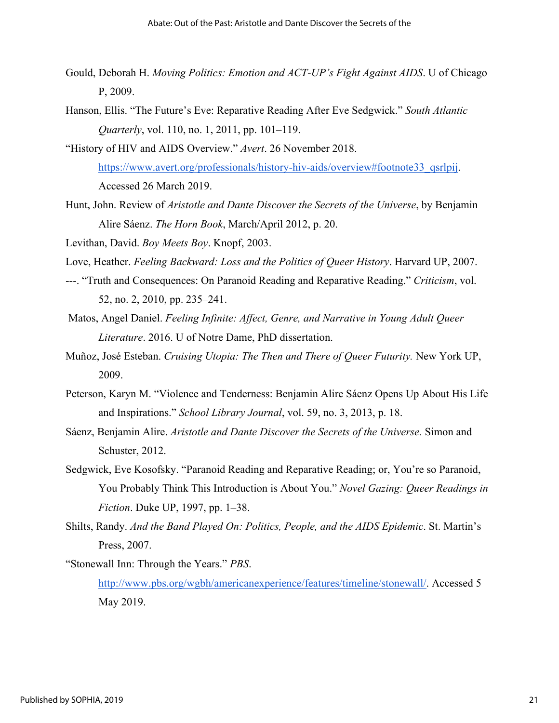- Gould, Deborah H. *Moving Politics: Emotion and ACT-UP's Fight Against AIDS*. U of Chicago P, 2009.
- Hanson, Ellis. "The Future's Eve: Reparative Reading After Eve Sedgwick." *South Atlantic Quarterly*, vol. 110, no. 1, 2011, pp. 101–119.
- "History of HIV and AIDS Overview." *Avert*. 26 November 2018. https://www.avert.org/professionals/history-hiv-aids/overview#footnote33\_qsrlpij. Accessed 26 March 2019.
- Hunt, John. Review of *Aristotle and Dante Discover the Secrets of the Universe*, by Benjamin Alire Sáenz. *The Horn Book*, March/April 2012, p. 20.

Levithan, David. *Boy Meets Boy*. Knopf, 2003.

Love, Heather. *Feeling Backward: Loss and the Politics of Queer History*. Harvard UP, 2007.

- ---. "Truth and Consequences: On Paranoid Reading and Reparative Reading." *Criticism*, vol. 52, no. 2, 2010, pp. 235–241.
- Matos, Angel Daniel. *Feeling Infinite: Affect, Genre, and Narrative in Young Adult Queer Literature*. 2016. U of Notre Dame, PhD dissertation.
- Muñoz, José Esteban. *Cruising Utopia: The Then and There of Queer Futurity.* New York UP, 2009.
- Peterson, Karyn M. "Violence and Tenderness: Benjamin Alire Sáenz Opens Up About His Life and Inspirations." *School Library Journal*, vol. 59, no. 3, 2013, p. 18.
- Sáenz, Benjamin Alire. *Aristotle and Dante Discover the Secrets of the Universe.* Simon and Schuster, 2012.
- Sedgwick, Eve Kosofsky. "Paranoid Reading and Reparative Reading; or, You're so Paranoid, You Probably Think This Introduction is About You." *Novel Gazing: Queer Readings in Fiction*. Duke UP, 1997, pp. 1–38.
- Shilts, Randy. *And the Band Played On: Politics, People, and the AIDS Epidemic*. St. Martin's Press, 2007.

"Stonewall Inn: Through the Years." *PBS*. http://www.pbs.org/wgbh/americanexperience/features/timeline/stonewall/. Accessed 5 May 2019.